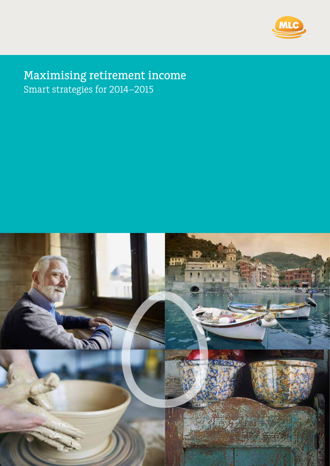

# Maximising retirement income Smart strategies for 2014–2015

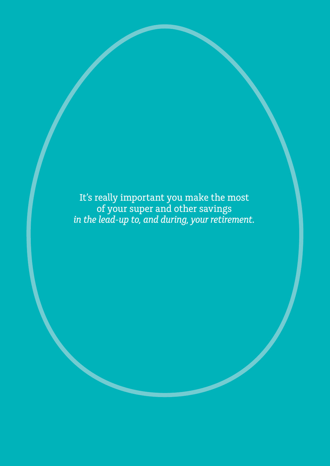It's really important you make the most of your super and other savings *in the lead-up to, and during, your retirement.*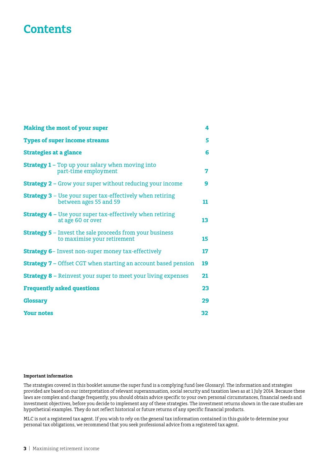# **Contents**

| <b>Making the most of your super</b>                                                           | 4  |
|------------------------------------------------------------------------------------------------|----|
| <b>Types of super income streams</b>                                                           | 5  |
| <b>Strategies at a glance</b>                                                                  | 6  |
| <b>Strategy 1 - Top up your salary when moving into</b><br>part-time employment                | 7  |
| <b>Strategy 2 - Grow your super without reducing your income</b>                               | 9  |
| <b>Strategy 3</b> – Use your super tax-effectively when retiring<br>between ages 55 and 59     | 11 |
| <b>Strategy 4 –</b> Use your super tax-effectively when retiring<br>at age 60 or over          | 13 |
| <b>Strategy 5</b> – Invest the sale proceeds from your business<br>to maximise your retirement | 15 |
| <b>Strategy 6-</b> Invest non-super money tax-effectively                                      | 17 |
| <b>Strategy 7 –</b> Offset CGT when starting an account based pension                          | 19 |
| <b>Strategy 8 - Reinvest your super to meet your living expenses</b>                           | 21 |
| <b>Frequently asked questions</b>                                                              | 23 |
| <b>Glossary</b>                                                                                | 29 |
| <b>Your notes</b>                                                                              | 32 |

#### **Important information**

The strategies covered in this booklet assume the super fund is a complying fund (see Glossary). The information and strategies provided are based on our interpretation of relevant superannuation, social security and taxation laws as at 1 July 2014. Because these laws are complex and change frequently, you should obtain advice specific to your own personal circumstances, financial needs and investment objectives, before you decide to implement any of these strategies. The investment returns shown in the case studies are hypothetical examples. They do not reflect historical or future returns of any specific financial products.

MLC is not a registered tax agent. If you wish to rely on the general tax information contained in this guide to determine your personal tax obligations, we recommend that you seek professional advice from a registered tax agent.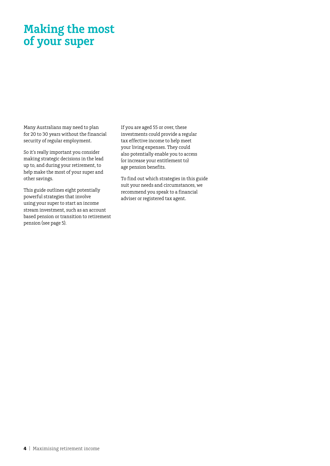# **Making the most of your super**

Many Australians may need to plan for 20 to 30 years without the financial security of regular employment.

So it's really important you consider making strategic decisions in the lead up to, and during your retirement, to help make the most of your super and other savings.

This guide outlines eight potentially powerful strategies that involve using your super to start an income stream investment, such as an account based pension or transition to retirement pension (see page 5).

If you are aged 55 or over, these investments could provide a regular tax effective income to help meet your living expenses. They could also potentially enable you to access (or increase your entitlement to) age pension benefits.

To find out which strategies in this guide suit your needs and circumstances, we recommend you speak to a financial adviser or registered tax agent.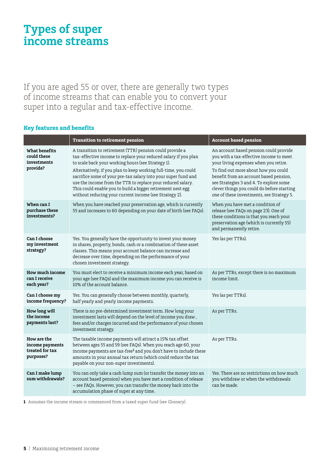# **Types of super income streams**

If you are aged 55 or over, there are generally two types of income streams that can enable you to convert your super into a regular and tax-effective income.

### **Key features and benefits**

|                                                                | <b>Transition to retirement pension</b>                                                                                                                                                                                                                                                                                                                                                                                                                                                                        | <b>Account based pension</b>                                                                                                                                                                                                                                                                                                                       |
|----------------------------------------------------------------|----------------------------------------------------------------------------------------------------------------------------------------------------------------------------------------------------------------------------------------------------------------------------------------------------------------------------------------------------------------------------------------------------------------------------------------------------------------------------------------------------------------|----------------------------------------------------------------------------------------------------------------------------------------------------------------------------------------------------------------------------------------------------------------------------------------------------------------------------------------------------|
| What benefits<br>could these<br>investments<br>provide?        | A transition to retirement (TTR) pension could provide a<br>tax-effective income to replace your reduced salary if you plan<br>to scale back your working hours (see Strategy 1).<br>Alternatively, if you plan to keep working full-time, you could<br>sacrifice some of your pre-tax salary into your super fund and<br>use the income from the TTR to replace your reduced salary.<br>This could enable you to build a bigger retirement nest egg<br>without reducing your current income (see Strategy 2). | An account based pension could provide<br>you with a tax-effective income to meet<br>your living expenses when you retire.<br>To find out more about how you could<br>benefit from an account based pension,<br>see Strategies 3 and 4. To explore some<br>clever things you could do before starting<br>one of these investments, see Strategy 5. |
| When can I<br>purchase these<br>investments?                   | When you have reached your preservation age, which is currently<br>55 and increases to 60 depending on your date of birth (see FAQs).                                                                                                                                                                                                                                                                                                                                                                          | When you have met a condition of<br>release (see FAQs on page 23). One of<br>these conditions is that you reach your<br>preservation age (which is currently 55)<br>and permanently retire.                                                                                                                                                        |
| Can I choose<br>my investment<br>strategy?                     | Yes. You generally have the opportunity to invest your money<br>in shares, property, bonds, cash or a combination of these asset<br>classes. This means your account balance can increase and<br>decrease over time, depending on the performance of your<br>chosen investment strategy.                                                                                                                                                                                                                       | Yes (as per TTRs).                                                                                                                                                                                                                                                                                                                                 |
| How much income<br>can I receive<br>each year?                 | You must elect to receive a minimum income each year, based on<br>your age (see FAQs) and the maximum income you can receive is<br>10% of the account balance.                                                                                                                                                                                                                                                                                                                                                 | As per TTRs, except there is no maximum<br>income limit.                                                                                                                                                                                                                                                                                           |
| Can I choose my<br>income frequency?                           | Yes. You can generally choose between monthly, quarterly,<br>half yearly and yearly income payments.                                                                                                                                                                                                                                                                                                                                                                                                           | Yes (as per TTRs).                                                                                                                                                                                                                                                                                                                                 |
| How long will<br>the income<br>payments last?                  | There is no pre-determined investment term. How long your<br>investment lasts will depend on the level of income you draw,<br>fees and/or charges incurred and the performance of your chosen<br>investment strategy.                                                                                                                                                                                                                                                                                          | As per TTRs.                                                                                                                                                                                                                                                                                                                                       |
| How are the<br>income payments<br>treated for tax<br>purposes? | The taxable income payments will attract a 15% tax offset<br>between ages 55 and 59 (see FAQs). When you reach age 60, your<br>income payments are tax-free <sup>1</sup> and you don't have to include these<br>amounts in your annual tax return (which could reduce the tax<br>payable on your non-super investments).                                                                                                                                                                                       | As per TTRs.                                                                                                                                                                                                                                                                                                                                       |
| Can I make lump<br>sum withdrawals?                            | You can only take a cash lump sum (or transfer the money into an<br>account based pension) when you have met a condition of release<br>- see FAQs. However, you can transfer the money back into the<br>accumulation phase of super at any time.                                                                                                                                                                                                                                                               | Yes. There are no restrictions on how much<br>you withdraw or when the withdrawals<br>can be made.                                                                                                                                                                                                                                                 |

**1** Assumes the income stream is commenced from a taxed super fund (see Glossary).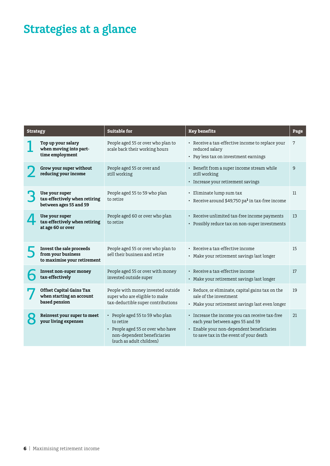# **Strategies at a glance**

| <b>Strategy</b> |                                                                               | <b>Suitable for</b>                                                                                                                          | <b>Key benefits</b>                                                                                                                                                       | Page |
|-----------------|-------------------------------------------------------------------------------|----------------------------------------------------------------------------------------------------------------------------------------------|---------------------------------------------------------------------------------------------------------------------------------------------------------------------------|------|
|                 | Top up your salary<br>when moving into part-<br>time employment               | People aged 55 or over who plan to<br>scale back their working hours                                                                         | • Receive a tax-effective income to replace your<br>reduced salary<br>• Pay less tax on investment earnings                                                               | 7    |
|                 | Grow your super without<br>reducing your income                               | People aged 55 or over and<br>still working                                                                                                  | • Benefit from a super income stream while<br>still working<br>• Increase your retirement savings                                                                         | 9    |
|                 | Use your super<br>tax-effectively when retiring<br>between ages 55 and 59     | People aged 55 to 59 who plan<br>to retire                                                                                                   | • Eliminate lump sum tax<br>• Receive around \$49,750 pa <sup>1</sup> in tax-free income                                                                                  | 11   |
|                 | Use your super<br>tax-effectively when retiring<br>at age 60 or over          | People aged 60 or over who plan<br>to retire                                                                                                 | • Receive unlimited tax-free income payments<br>• Possibly reduce tax on non-super investments                                                                            | 13   |
|                 | Invest the sale proceeds<br>from your business<br>to maximise your retirement | People aged 55 or over who plan to<br>sell their business and retire                                                                         | • Receive a tax-effective income<br>• Make your retirement savings last longer                                                                                            | 15   |
|                 | Invest non-super money<br>tax-effectively                                     | People aged 55 or over with money<br>invested outside super                                                                                  | • Receive a tax-effective income<br>• Make your retirement savings last longer                                                                                            | 17   |
|                 | <b>Offset Capital Gains Tax</b><br>when starting an account<br>based pension  | People with money invested outside<br>super who are eligible to make<br>tax-deductible super contributions                                   | • Reduce, or eliminate, capital gains tax on the<br>sale of the investment<br>• Make your retirement savings last even longer                                             | 19   |
|                 | Reinvest your super to meet<br>your living expenses                           | • People aged 55 to 59 who plan<br>to retire<br>• People aged 55 or over who have<br>non-dependent beneficiaries<br>(such as adult children) | • Increase the income you can receive tax-free<br>each year between ages 55 and 59<br>• Enable your non-dependent beneficiaries<br>to save tax in the event of your death | 21   |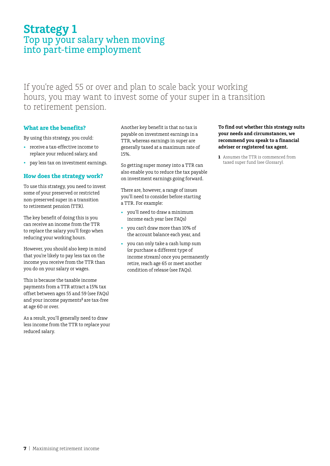# **Strategy 1** Top up your salary when moving into part-time employment

If you're aged 55 or over and plan to scale back your working hours, you may want to invest some of your super in a transition to retirement pension.

### **What are the benefits?**

By using this strategy, you could:

- • receive a tax-effective income to replace your reduced salary, and
- pay less tax on investment earnings.

### **How does the strategy work?**

To use this strategy, you need to invest some of your preserved or restricted non-preserved super in a transition to retirement pension (TTR).

The key benefit of doing this is you can receive an income from the TTR to replace the salary you'll forgo when reducing your working hours.

However, you should also keep in mind that you're likely to pay less tax on the income you receive from the TTR than you do on your salary or wages.

This is because the taxable income payments from a TTR attract a 15% tax offset between ages 55 and 59 (see FAQs) and your income payments**<sup>1</sup>** are tax-free at age 60 or over.

As a result, you'll generally need to draw less income from the TTR to replace your reduced salary.

Another key benefit is that no tax is payable on investment earnings in a TTR, whereas earnings in super are generally taxed at a maximum rate of 15%.

So getting super money into a TTR can also enable you to reduce the tax payable on investment earnings going forward.

There are, however, a range of issues you'll need to consider before starting a TTR. For example:

- you'll need to draw a minimum income each year (see FAQs)
- • you can't draw more than 10% of the account balance each year, and
- you can only take a cash lump sum (or purchase a different type of income stream) once you permanently retire, reach age 65 or meet another condition of release (see FAQs).

#### **To find out whether this strategy suits your needs and circumstances, we recommend you speak to a financial adviser or registered tax agent.**

**1** Assumes the TTR is commenced from taxed super fund (see Glossary).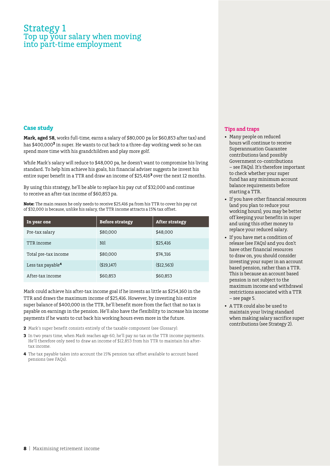## Strategy 1 Top up your salary when moving into part-time employment

#### **Case study**

**Mark, aged 58,** works full-time, earns a salary of \$80,000 pa (or \$60,853 after tax) and has \$400,000**<sup>2</sup>** in super. He wants to cut back to a three-day working week so he can spend more time with his grandchildren and play more golf.

While Mark's salary will reduce to \$48,000 pa, he doesn't want to compromise his living standard. To help him achieve his goals, his financial adviser suggests he invest his entire super benefit in a TTR and draw an income of \$25,416**<sup>3</sup>** over the next 12 months.

By using this strategy, he'll be able to replace his pay cut of \$32,000 and continue to receive an after-tax income of \$60,853 pa.

**Note:** The main reason he only needs to receive \$25,416 pa from his TTR to cover his pay cut of \$32,000 is because, unlike his salary, the TTR income attracts a 15% tax offset.

| In year one                   | <b>Before strategy</b> | <b>After strategy</b> |
|-------------------------------|------------------------|-----------------------|
| Pre-tax salary                | \$80,000               | \$48,000              |
| TTR income                    | Nil                    | \$25,416              |
| Total pre-tax income          | \$80,000               | \$74,316              |
| Less tax payable <sup>4</sup> | ( \$19,147)            | ( \$12, 563)          |
| After-tax income              | \$60,853               | \$60,853              |

Mark could achieve his after-tax income goal if he invests as little as \$254,160 in the TTR and draws the maximum income of \$25,416. However, by investing his entire super balance of \$400,000 in the TTR, he'll benefit more from the fact that no tax is payable on earnings in the pension. He'll also have the flexibility to increase his income payments if he wants to cut back his working hours even more in the future.

- **2** Mark's super benefit consists entirely of the taxable component (see Glossary).
- **3** In two years time, when Mark reaches age 60, he'll pay no tax on the TTR income payments. He'll therefore only need to draw an income of \$12,853 from his TTR to maintain his aftertax income.
- **4** The tax payable takes into account the 15% pension tax offset available to account based pensions (see FAQs).

- • Many people on reduced hours will continue to receive Superannuation Guarantee contributions (and possibly Government co-contributions – see FAQs). It's therefore important to check whether your super fund has any minimum account balance requirements before starting a TTR.
- • If you have other financial resources (and you plan to reduce your working hours), you may be better off keeping your benefits in super and using this other money to replace your reduced salary.
- • If you have met a condition of release (see FAQs) and you don't have other financial resources to draw on, you should consider investing your super in an account based pension, rather than a TTR. This is because an account based pension is not subject to the maximum income and withdrawal restrictions associated with a TTR – see page 5.
- A TTR could also be used to maintain your living standard when making salary sacrifice super contributions (see Strategy 2).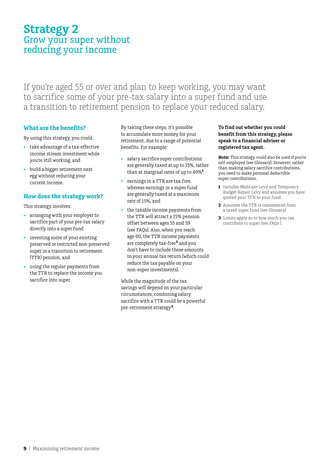# **Strategy 2** Grow your super without reducing your income

If you're aged 55 or over and plan to keep working, you may want to sacrifice some of your pre-tax salary into a super fund and use a transition to retirement pension to replace your reduced salary.

### **What are the benefits?**

By using this strategy, you could:

- • take advantage of a tax-effective income stream investment while you're still working, and
- build a bigger retirement nest egg without reducing your current income.

### **How does the strategy work?**

This strategy involves:

- • arranging with your employer to sacrifice part of your pre-tax salary directly into a super fund
- investing some of your existing preserved or restricted non-preserved super in a transition to retirement (TTR) pension, and
- • using the regular payments from the TTR to replace the income you sacrifice into super.

By taking these steps, it's possible to accumulate more money for your retirement, due to a range of potential benefits. For example:

- • salary sacrifice super contributions are generally taxed at up to 15%, rather than at marginal rates of up to 49%**<sup>1</sup>**
- earnings in a TTR are tax-free, whereas earnings in a super fund are generally taxed at a maximum rate of 15%, and
- the taxable income payments from the TTR will attract a 15% pension offset between ages 55 and 59 (see FAQs). Also, when you reach age 60, the TTR income payments are completely tax-free**2** and you don't have to include these amounts in your annual tax return (which could reduce the tax payable on your non-super investments).

While the magnitude of the tax savings will depend on your particular circumstances, combining salary sacrifice with a TTR could be a powerful pre-retirement strategy**3**.

#### **To find out whether you could benefit from this strategy, please speak to a financial adviser or registered tax agent.**

**Note:** This strategy could also be used if you're self-employed (see Glossary). However, rather than making salary sacrifice contributions, you need to make personal deductible super contributions.

- **1** Includes Medicare Levy and Temporary Budget Repair Levy and assumes you have quoted your TFN to your fund.
- **2** Assumes the TTR is commenced from a taxed super fund (see Glossary).
- **3** Limits apply as to how much you can contribute to super (see FAQs ).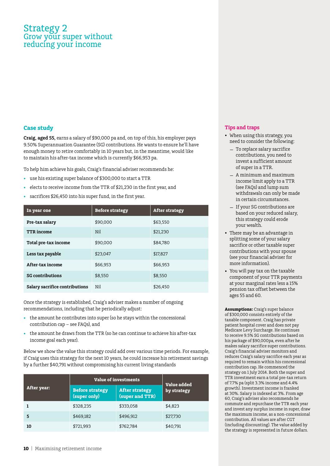## Strategy 2 Grow your super without reducing your income

#### **Case study**

**Craig, aged 55,** earns a salary of \$90,000 pa and, on top of this, his employer pays 9.50% Superannuation Guarantee (SG) contributions. He wants to ensure he'll have enough money to retire comfortably in 10 years but, in the meantime, would like to maintain his after-tax income which is currently \$66,953 pa.

To help him achieve his goals, Craig's financial adviser recommends he:

- • use his existing super balance of \$300,000 to start a TTR
- elects to receive income from the TTR of \$21,230 in the first year, and
- sacrifices \$26,450 into his super fund, in the first year.

| In year one                    | <b>Before strategy</b> | <b>After strategy</b> |
|--------------------------------|------------------------|-----------------------|
| Pre-tax salary                 | \$90,000               | \$63,550              |
| <b>TTR</b> income              | Nil                    | \$21,230              |
| Total pre-tax income           | \$90,000               | \$84.780              |
| Less tax payable               | \$23.047               | \$17,827              |
| After-tax income               | \$66,953               | \$66,953              |
| <b>SG</b> contributions        | \$8.550                | \$8.550               |
| Salary sacrifice contributions | Nil                    | \$26,450              |

Once the strategy is established, Craig's adviser makes a number of ongoing recommendations, including that he periodically adjust:

- the amount he contributes into super (so he stays within the concessional contribution cap – see FAQs), and
- the amount he draws from the TTR (so he can continue to achieve his after-tax income goal each year).

Below we show the value this strategy could add over various time periods. For example, if Craig uses this strategy for the next 10 years, he could increase his retirement savings by a further \$40,791 without compromising his current living standards

|             | <b>Value of investments</b>            | <b>Value added</b>                       |             |
|-------------|----------------------------------------|------------------------------------------|-------------|
| After year: | <b>Before strategy</b><br>(super only) | <b>After strategy</b><br>(super and TTR) | by strategy |
|             | \$328,235                              | \$333,058                                | \$4,823     |
| 5           | \$469,182                              | \$496,912                                | \$27,730    |
| 10          | \$721,993                              | \$762,784                                | \$40,791    |

#### **Tips and traps**

- When using this strategy, you need to consider the following:
	- To replace salary sacrifice contributions, you need to invest a sufficient amount of super in a TTR.
	- A minimum and maximum income limit apply to a TTR (see FAQs) and lump sum withdrawals can only be made in certain circumstances.
	- If your SG contributions are based on your reduced salary, this strategy could erode your wealth.
- There may be an advantage in splitting some of your salary sacrifice or other taxable super contributions with your spouse (see your financial adviser for more information).
- • You will pay tax on the taxable component of your TTR payments at your marginal rates less a 15% pension tax offset between the ages 55 and 60.

**Assumptions:** Craig's super balance of \$300,000 consists entirely of the taxable component. Craig has private patient hospital cover and does not pay Medicare Levy Surcharge. He continues to receive 9.5% SG contributions based on his package of \$90,000pa, even after he makes salary sacrifice super contributions. Craig's financial adviser monitors and reduces Craig's salary sacrifice each year as required to remain within his concessional contribution cap. He commenced the strategy on 1 July 2014. Both the super and TTR investment earn a total pre-tax return of 7.7% pa (split 3.3% income and 4.4% growth). Investment income is franked at 30%. Salary is indexed at 3%. From age 60, Craig's adviser also recommends he commute and repurchase the TTR each year and invest any surplus income in super, draw the maximum income, as a non-concessional contribution. All values are after CGT (including discounting). The value added by the strategy is represented in future dollars.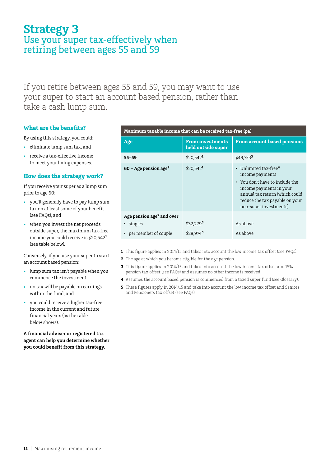# **Strategy 3** Use your super tax-effectively when retiring between ages 55 and 59

If you retire between ages 55 and 59, you may want to use your super to start an account based pension, rather than take a cash lump sum.

### **What are the benefits?**

By using this strategy, you could:

- • eliminate lump sum tax, and
- receive a tax-effective income to meet your living expenses.

### **How does the strategy work?**

If you receive your super as a lump sum prior to age 60:

- • you'll generally have to pay lump sum tax on at least some of your benefit (see FAQs), and
- when you invest the net proceeds outside super, the maximum tax-free income you could receive is \$20,542**<sup>1</sup>** (see table below).

Conversely, if you use your super to start an account based pension:

- • lump sum tax isn't payable when you commence the investment
- • no tax will be payable on earnings within the fund, and
- • you could receive a higher tax-free income in the current and future financial years (as the table below shows).

**A financial adviser or registered tax agent can help you determine whether you could benefit from this strategy.**

#### **Maximum taxable income that can be received tax-free (pa)**

| Age                                              | <b>From investments</b><br>held outside super | <b>From account based pensions</b>                                                                                                                                                                                     |
|--------------------------------------------------|-----------------------------------------------|------------------------------------------------------------------------------------------------------------------------------------------------------------------------------------------------------------------------|
| $55 - 59$                                        | $$20.542$ <sup>1</sup>                        | $$49.753$ <sup>3</sup>                                                                                                                                                                                                 |
| $60 - Age$ pension age <sup>2</sup>              | $$20,542$ <sup>1</sup>                        | $\cdot$ Unlimited tax-free <sup>4</sup><br>income payments<br>• You don't have to include the<br>income payments in your<br>annual tax return (which could<br>reduce the tax payable on your<br>non-super investments) |
| Age pension age <sup>2</sup> and over<br>singles | \$32.2795                                     | As above                                                                                                                                                                                                               |
| • per member of couple                           | \$28,9745                                     | As above                                                                                                                                                                                                               |

- **1** This figure applies in 2014/15 and takes into account the low income tax offset (see FAQs).
- **2** The age at which you become eligible for the age pension.
- **3** This figure applies in 2014/15 and takes into account the low income tax offset and 15% pension tax offset (see FAQs) and assumes no other income is received.
- **4** Assumes the account based pension is commenced from a taxed super fund (see Glossary).
- **5** These figures apply in 2014/15 and take into account the low income tax offset and Seniors and Pensioners tax offset (see FAQs).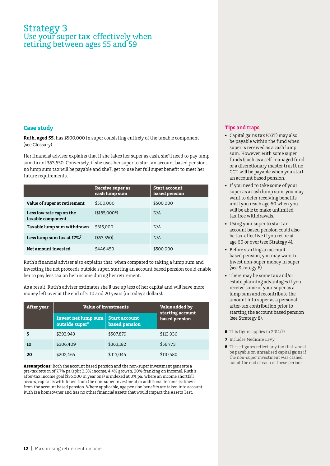# Strategy 3 Use your super tax-effectively when retiring between ages 55 and 59

#### **Case study**

**Ruth, aged 55,** has \$500,000 in super consisting entirely of the taxable component (see Glossary).

Her financial adviser explains that if she takes her super as cash, she'll need to pay lump sum tax of \$53,550. Conversely, if she uses her super to start an account based pension, no lump sum tax will be payable and she'll get to use her full super benefit to meet her future requirements.

|                                               | Receive super as<br>cash lump sum | <b>Start account</b><br>based pension |
|-----------------------------------------------|-----------------------------------|---------------------------------------|
| Value of super at retirement                  | \$500,000                         | \$500,000                             |
| Less low rate cap on the<br>taxable component | \$185.000 <sup>6</sup>            | N/A                                   |
| Taxable lump sum withdrawn                    | \$315,000                         | N/A                                   |
| Less lump sum tax at 17% <sup>7</sup>         | ( \$53,550)                       | N/A                                   |
| Net amount invested                           | \$446,450                         | \$500,000                             |

Ruth's financial adviser also explains that, when compared to taking a lump sum and investing the net proceeds outside super, starting an account based pension could enable her to pay less tax on her income during her retirement.

As a result, Ruth's adviser estimates she'll use up less of her capital and will have more money left over at the end of 5, 10 and 20 years (in today's dollars).

| <b>After year</b> | <b>Value of investments</b>                              |                                              | Value added by<br>starting account |
|-------------------|----------------------------------------------------------|----------------------------------------------|------------------------------------|
|                   | <b>Invest net lump sum</b><br>outside super <sup>8</sup> | <b>Start account</b><br><b>based pension</b> | based pension                      |
|                   | \$393.943                                                | \$507,879                                    | \$113,936                          |
| 10                | \$306,409                                                | \$363,182                                    | \$56,773                           |
| 20                | \$202,465                                                | \$313,045                                    | \$110,580                          |

**Assumptions:** Both the account based pension and the non-super investment generate a pre-tax return of 7.7% pa (split 3.3% income, 4.4% growth, 30% franking on income). Ruth's after-tax income goal (\$35,000 in year one) is indexed at 3% pa. Where an income shortfall occurs, capital is withdrawn from the non-super investment or additional income is drawn from the account based pension. Where applicable, age pension benefits are taken into account. Ruth is a homeowner and has no other financial assets that would impact the Assets Test.

- • Capital gains tax (CGT) may also be payable within the fund when super is received as a cash lump sum. However, with some super funds (such as a self-managed fund or a discretionary master trust), no CGT will be payable when you start an account based pension.
- If you need to take some of your super as a cash lump sum, you may want to defer receiving benefits until you reach age 60 when you will be able to make unlimited tax free withdrawals.
- • Using your super to start an account based pension could also be tax-effective if you retire at age 60 or over (see Strategy 4).
- Before starting an account based pension, you may want to invest non-super money in super (see Strategy 6).
- There may be some tax and/or estate planning advantages if you receive some of your super as a lump sum and recontribute the amount into super as a personal after-tax contribution prior to starting the account based pension (see Strategy 8).
- **6** This figure applies in 2014/15.
- **7** Includes Medicare Levy.
- **8** These figures reflect any tax that would be payable on unrealised capital gains if the non-super investment was cashed out at the end of each of these periods.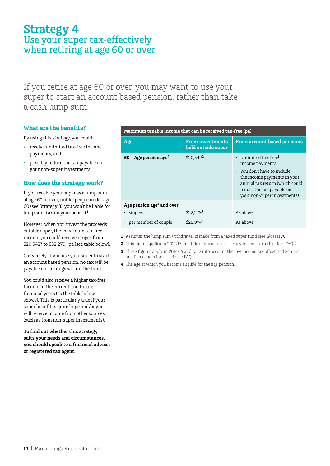# **Strategy 4** Use your super tax-effectively when retiring at age 60 or over

If you retire at age 60 or over, you may want to use your super to start an account based pension, rather than take a cash lump sum.

### **What are the benefits?**

By using this strategy, you could:

- • receive unlimited tax-free income payments, and
- • possibly reduce the tax payable on your non-super investments.

#### **How does the strategy work?**

If you receive your super as a lump sum at age 60 or over, unlike people under age 60 (see Strategy 3), you won't be liable for lump sum tax on your benefit**1**.

However, when you invest the proceeds outside super, the maximum tax-free income you could receive ranges from \$20,542**2** to \$32,279**3** pa (see table below).

Conversely, if you use your super to start an account based pension, no tax will be payable on earnings within the fund.

You could also receive a higher tax-free income in the current and future financial years (as the table below shows). This is particularly true if your super benefit is quite large and/or you will receive income from other sources (such as from non-super investments).

**To find out whether this strategy suits your needs and circumstances, you should speak to a financial adviser or registered tax agent.**

#### **Maximum taxable income that can be received tax-free (pa)**

| Age                                   | <b>From investments</b><br>held outside super | <b>From account based pensions</b>                                                                                                                                                                                     |
|---------------------------------------|-----------------------------------------------|------------------------------------------------------------------------------------------------------------------------------------------------------------------------------------------------------------------------|
| $60$ – Age pension age <sup>4</sup>   | $$20.542$ <sup>2</sup>                        | $\cdot$ Unlimited tax-free <sup>1</sup><br>income payments<br>• You don't have to include<br>the income payments in your<br>annual tax return (which could<br>reduce the tax payable on<br>your non-super investments) |
| Age pension age <sup>4</sup> and over |                                               |                                                                                                                                                                                                                        |
| singles                               | $$32,279^3$                                   | As above                                                                                                                                                                                                               |
| • per member of couple                | $$28,974^3$                                   | As above                                                                                                                                                                                                               |

- **1** Assumes the lump sum withdrawal is made from a taxed super fund (see Glossary).
- **2** This figure applies in 2014/15 and takes into account the low income tax offset (see FAQs).
	- **3** These figures apply in 2014/15 and take into account the low income tax offset and Seniors and Pensioners tax offset (see FAQs).
- **4** The age at which you become eligible for the age pension.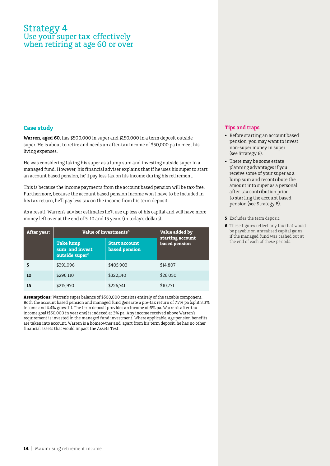# Strategy 4 Use your super tax-effectively when retiring at age 60 or over

#### **Case study**

**Warren, aged 60,** has \$500,000 in super and \$150,000 in a term deposit outside super. He is about to retire and needs an after-tax income of \$50,000 pa to meet his living expenses.

He was considering taking his super as a lump sum and investing outside super in a managed fund. However, his financial adviser explains that if he uses his super to start an account based pension, he'll pay less tax on his income during his retirement.

This is because the income payments from the account based pension will be tax-free. Furthermore, because the account based pension income won't have to be included in his tax return, he'll pay less tax on the income from his term deposit.

As a result, Warren's adviser estimates he'll use up less of his capital and will have more money left over at the end of 5, 10 and 15 years (in today's dollars).

| After year: | Value of investments <sup>5</sup>                                |                                       | Value added by<br>starting account |
|-------------|------------------------------------------------------------------|---------------------------------------|------------------------------------|
|             | <b>Take</b> lump<br>sum and invest<br>outside super <sup>6</sup> | <b>Start account</b><br>based pension | based pension                      |
| 5           | \$391,096                                                        | \$405.903                             | \$14,807                           |
| 10          | \$296,110                                                        | \$322,140                             | \$26,030                           |
| 15          | \$215,970                                                        | \$226,741                             | \$10,771                           |

**Assumptions:** Warren's super balance of \$500,000 consists entirely of the taxable component. Both the account based pension and managed fund generate a pre-tax return of 7.7% pa (split 3.3% income and 4.4% growth). The term deposit provides an income of 6% pa. Warren's after-tax income goal (\$50,000 in year one) is indexed at 3% pa. Any income received above Warren's requirement is invested in the managed fund investment. Where applicable, age pension benefits are taken into account. Warren is a homeowner and, apart from his term deposit, he has no other financial assets that would impact the Assets Test.

- • Before starting an account based pension, you may want to invest non-super money in super (see Strategy 6).
- • There may be some estate planning advantages if you receive some of your super as a lump sum and recontribute the amount into super as a personal after-tax contribution prior to starting the account based pension (see Strategy 8).
- **5** Excludes the term deposit.
- **6** These figures reflect any tax that would be payable on unrealised capital gains if the managed fund was cashed out at the end of each of these periods.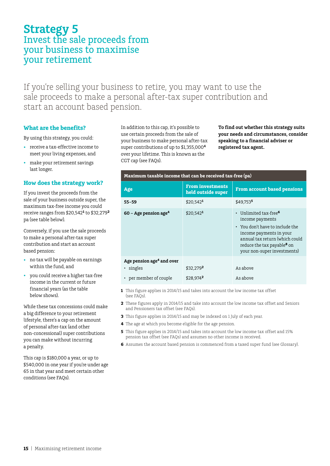## **Strategy 5** Invest the sale proceeds from your business to maximise your retirement

If you're selling your business to retire, you may want to use the sale proceeds to make a personal after-tax super contribution and start an account based pension.

### **What are the benefits?**

By using this strategy, you could:

- receive a tax-effective income to meet your living expenses, and
- make your retirement savings last longer.

#### **How does the strategy work?**

If you invest the proceeds from the sale of your business outside super, the maximum tax-free income you could receive ranges from \$20,542**<sup>1</sup>** to \$32,279**<sup>2</sup>** pa (see table below).

Conversely, if you use the sale proceeds to make a personal after-tax super contribution and start an account based pension:

- no tax will be payable on earnings within the fund, and
- • you could receive a higher tax-free income in the current or future financial years (as the table below shows).

While these tax concessions could make a big difference to your retirement lifestyle, there's a cap on the amount of personal after-tax (and other non-concessional) super contributions you can make without incurring a penalty.

This cap is \$180,000 a year, or up to \$540,000 in one year if you're under age 65 in that year and meet certain other conditions (see FAQs).

In addition to this cap, it's possible to use certain proceeds from the sale of your business to make personal after-tax super contributions of up to \$1,355,000**<sup>4</sup>** over your lifetime. This is known as the CGT cap (see FAQs).

**To find out whether this strategy suits your needs and circumstances, consider speaking to a financial adviser or registered tax agent.**

| Maximum taxable income that can be received tax-free (pa) |                                               |                                                                                                                                                                                                                      |  |
|-----------------------------------------------------------|-----------------------------------------------|----------------------------------------------------------------------------------------------------------------------------------------------------------------------------------------------------------------------|--|
| Age                                                       | <b>From investments</b><br>held outside super | <b>From account based pensions</b>                                                                                                                                                                                   |  |
| $55 - 59$                                                 | $$20.542$ <sup>1</sup>                        | \$49.7535                                                                                                                                                                                                            |  |
| $60 - Age$ pension age <sup>4</sup>                       | $$20,542$ <sup>1</sup>                        | • Unlimited tax-free $6$<br>income payments<br>• You don't have to include the<br>income payments in your<br>annual tax return (which could<br>reduce the tax payable <sup>8</sup> on<br>your non-super investments) |  |
| Age pension age <sup>4</sup> and over<br>• singles        | \$32.2792                                     | As above                                                                                                                                                                                                             |  |
| • per member of couple                                    | $$28.974$ <sup>2</sup>                        | As above                                                                                                                                                                                                             |  |

**1** This figure applies in 2014/15 and takes into account the low income tax offset (see FAQs).

**2** These figures apply in 2014/15 and take into account the low income tax offset and Seniors and Pensioners tax offset (see FAQs).

- **3** This figure applies in 2014/15 and may be indexed on 1 July of each year.
- **4** The age at which you become eligible for the age pension.
- **5** This figure applies in 2014/15 and takes into account the low income tax offset and 15% pension tax offset (see FAQs) and assumes no other income is received.
- **6** Assumes the account based pension is commenced from a taxed super fund (see Glossary).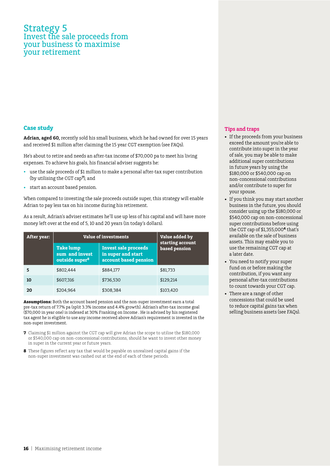### Strategy 5 Invest the sale proceeds from your business to maximise your retirement

#### **Case study**

**Adrian, aged 60,** recently sold his small business, which he had owned for over 15 years and received \$1 million after claiming the 15 year CGT exemption (see FAQs).

He's about to retire and needs an after-tax income of \$70,000 pa to meet his living expenses. To achieve his goals, his financial adviser suggests he:

- use the sale proceeds of \$1 million to make a personal after-tax super contribution (by utilising the CGT cap**<sup>7</sup>**), and
- start an account based pension.

When compared to investing the sale proceeds outside super, this strategy will enable Adrian to pay less tax on his income during his retirement.

As a result, Adrian's adviser estimates he'll use up less of his capital and will have more money left over at the end of 5, 10 and 20 years (in today's dollars).

| After year: | <b>Value of investments</b>                                      |                                                                            | Value added by<br>starting account |
|-------------|------------------------------------------------------------------|----------------------------------------------------------------------------|------------------------------------|
|             | <b>Take lump</b><br>sum and invest<br>outside super <sup>8</sup> | <b>Invest sale proceeds</b><br>in super and start<br>account based pension | based pension                      |
| 5           | \$802.444                                                        | \$884.177                                                                  | \$81.733                           |
| 10          | \$607,316                                                        | \$736,530                                                                  | \$129,214                          |
| 20          | \$204,964                                                        | \$308,384                                                                  | \$103,420                          |

**Assumptions:** Both the account based pension and the non-super investment earn a total pre-tax return of 7.7% pa (split 3.3% income and 4.4% growth). Adrian's after-tax income goal (\$70,000 in year one) is indexed at 30% Franking on Income . He is advised by his registered tax agent he is eligible to use any income received above Adrian's requirement is invested in the non-super investment.

- **7** Claiming \$1 million against the CGT cap will give Adrian the scope to utilise the \$180,000 or \$540,000 cap on non-concessional contributions, should he want to invest other money in super in the current year or future years.
- **8** These figures reflect any tax that would be payable on unrealised capital gains if the non-super investment was cashed out at the end of each of these periods.

- If the proceeds from your business exceed the amount you're able to contribute into super in the year of sale, you may be able to make additional super contributions in future years by using the \$180,000 or \$540,000 cap on non-concessional contributions and/or contribute to super for your spouse.
- If you think you may start another business in the future, you should consider using up the \$180,000 or \$540,000 cap on non-concessional super contributions before using the CGT cap of \$1,355,000**4** that's available on the sale of business assets. This may enable you to use the remaining CGT cap at a later date.
- You need to notify your super fund on or before making the contribution, if you want any personal after-tax contributions to count towards your CGT cap.
- There are a range of other concessions that could be used to reduce capital gains tax when selling business assets (see FAQs).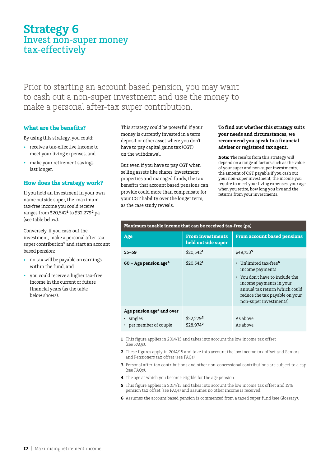## **Strategy 6** Invest non-super money tax-effectively

Prior to starting an account based pension, you may want to cash out a non-super investment and use the money to make a personal after-tax super contribution.

### **What are the benefits?**

By using this strategy, you could:

- • receive a tax-effective income to meet your living expenses, and
- make your retirement savings last longer.

#### **How does the strategy work?**

If you hold an investment in your own name outside super, the maximum tax-free income you could receive ranges from \$20,542**<sup>1</sup>** to \$32,279**2** pa (see table below).

Conversely, if you cash out the investment, make a personal after-tax super contribution**3** and start an account based pension:

- no tax will be payable on earnings within the fund, and
- • you could receive a higher tax-free income in the current or future financial years (as the table below shows).

This strategy could be powerful if your money is currently invested in a term deposit or other asset where you don't have to pay capital gains tax (CGT) on the withdrawal.

But even if you have to pay CGT when selling assets like shares, investment properties and managed funds, the tax benefits that account based pensions can provide could more than compensate for your CGT liability over the longer term, as the case study reveals.

**Maximum taxable income that can be received tax-free (pa)**

#### **To find out whether this strategy suits your needs and circumstances, we recommend you speak to a financial adviser or registered tax agent.**

**Note:** The results from this strategy will depend on a range of factors such as the value of your super and non-super investments, the amount of CGT payable if you cash out your non-super investment, the income you require to meet your living expenses, your age when you retire, how long you live and the returns from your investments.

| Age                                                                        | <b>From investments</b><br>held outside super | <b>From account based pensions</b>                                                                                                                                                                               |
|----------------------------------------------------------------------------|-----------------------------------------------|------------------------------------------------------------------------------------------------------------------------------------------------------------------------------------------------------------------|
| $55 - 59$                                                                  | $$20.542$ <sup>1</sup>                        | \$49.7535                                                                                                                                                                                                        |
| $60 - Age$ pension age <sup>4</sup>                                        | $$20.542$ <sup>1</sup>                        | • Unlimited tax-free <sup>6</sup><br>income payments<br>• You don't have to include the<br>income payments in your<br>annual tax return (which could<br>reduce the tax payable on your<br>non-super investments) |
| Age pension age <sup>4</sup> and over<br>• singles<br>per member of couple | \$32.2792<br>\$28.9742                        | As above<br>As above                                                                                                                                                                                             |

- **1** This figure applies in 2014/15 and takes into account the low income tax offset  $(sep FAOs)$
- **2** These figures apply in 2014/15 and take into account the low income tax offset and Seniors and Pensioners tax offset (see FAQs).
- **3** Personal after-tax contributions and other non-concessional contributions are subject to a cap (see FAQs).
- **4** The age at which you become eligible for the age pension.
- **5** This figure applies in 2014/15 and takes into account the low income tax offset and 15% pension tax offset (see FAQs) and assumes no other income is received.
- **6** Assumes the account based pension is commenced from a taxed super fund (see Glossary).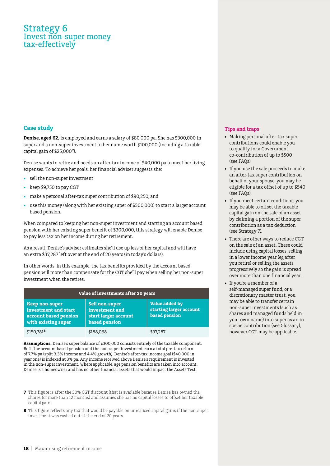## Strategy 6 Invest non-super money tax-effectively

#### **Case study**

**Denise, aged 62,** is employed and earns a salary of \$80,000 pa. She has \$300,000 in super and a non-super investment in her name worth \$100,000 (including a taxable capital gain of \$25,000**<sup>7</sup>**).

Denise wants to retire and needs an after-tax income of \$40,000 pa to meet her living expenses. To achieve her goals, her financial adviser suggests she:

- sell the non-super investment
- keep \$9,750 to pay CGT
- make a personal after-tax super contribution of \$90,250, and
- use this money (along with her existing super of \$300,000) to start a larger account based pension.

When compared to keeping her non-super investment and starting an account based pension with her existing super benefit of \$300,000, this strategy will enable Denise to pay less tax on her income during her retirement.

As a result, Denise's adviser estimates she'll use up less of her capital and will have an extra \$37,287 left over at the end of 20 years (in today's dollars).

In other words, in this example, the tax benefits provided by the account based pension will more than compensate for the CGT she'll pay when selling her non-super investment when she retires.

| Value of investments after 20 years                                                           |                                                                                  |                                                            |  |
|-----------------------------------------------------------------------------------------------|----------------------------------------------------------------------------------|------------------------------------------------------------|--|
| <b>Keep non-super</b><br>investment and start<br>account based pension<br>with existing super | <b>Sell non-super</b><br>investment and<br>start larger account<br>based pension | Value added by<br>starting larger account<br>based pension |  |
| $$150,781$ <sup>8</sup>                                                                       | \$188,068                                                                        | \$37,287                                                   |  |

**Assumptions:** Denise's super balance of \$300,000 consists entirely of the taxable component. Both the account based pension and the non-super investment earn a total pre-tax return of 7.7% pa (split 3.3% income and 4.4% growth). Denise's after-tax income goal (\$40,000 in year one) is indexed at 3% pa. Any income received above Denise's requirement is invested in the non-super investment. Where applicable, age pension benefits are taken into account. Denise is a homeowner and has no other financial assets that would impact the Assets Test.

- **7** This figure is after the 50% CGT discount (that is available because Denise has owned the shares for more than 12 months) and assumes she has no capital losses to offset her taxable capital gain.
- **8** This figure reflects any tax that would be payable on unrealised capital gains if the non-super investment was cashed out at the end of 20 years.

- • Making personal after-tax super contributions could enable you to qualify for a Government co-contribution of up to \$500 (see FAQs).
- If you use the sale proceeds to make an after-tax super contribution on behalf of your spouse, you may be eligible for a tax offset of up to \$540 (see FAQs).
- • If you meet certain conditions, you may be able to offset the taxable capital gain on the sale of an asset by claiming a portion of the super contribution as a tax deduction (see Strategy 7).
- There are other ways to reduce CGT on the sale of an asset. These could include using capital losses, selling in a lower income year (eg after you retire) or selling the assets progressively so the gain is spread over more than one financial year.
- • If you're a member of a self-managed super fund, or a discretionary master trust, you may be able to transfer certain non-super investments (such as shares and managed funds held in your own name) into super as an in specie contribution (see Glossary), however CGT may be applicable.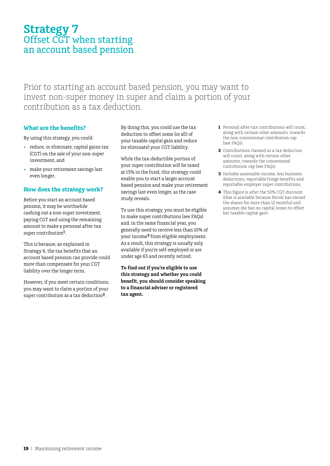## **Strategy 7** Offset CGT when starting an account based pension

Prior to starting an account based pension, you may want to invest non-super money in super and claim a portion of your contribution as a tax deduction.

### **What are the benefits?**

By using this strategy, you could:

- • reduce, or eliminate, capital gains tax (CGT) on the sale of your non-super investment, and
- make your retirement savings last even longer.

#### **How does the strategy work?**

Before you start an account based pension, it may be worthwhile cashing out a non-super investment, paying CGT and using the remaining amount to make a personal after-tax super contribution**1**.

This is because, as explained in Strategy 6, the tax benefits that an account based pension can provide could more than compensate for your CGT liability over the longer term.

However, if you meet certain conditions, you may want to claim a portion of your super contribution as a tax deduction**2**.

By doing this, you could use the tax deduction to offset some (or all) of your taxable capital gain and reduce (or eliminate) your CGT liability.

While the tax-deductible portion of your super contribution will be taxed at 15% in the fund, this strategy could enable you to start a larger account based pension and make your retirement savings last even longer, as the case study reveals.

To use this strategy, you must be eligible to make super contributions (see FAQs) and, in the same financial year, you generally need to receive less than 10% of your income**3** from eligible employment. As a result, this strategy is usually only available if you're self-employed or are under age 65 and recently retired.

**To find out if you're eligible to use this strategy and whether you could benefit, you should consider speaking to a financial adviser or registered tax agent.**

- **1** Personal after-tax contributions will count, along with certain other amounts, towards the non-concessional contribution cap (see FAQs).
- **2** Contributions claimed as a tax deduction will count, along with certain other amounts, towards the concessional contribution cap (see FAQs).
- **3** Includes assessable income, less business deductions, reportable fringe benefits and reportable employer super contributions.
- **4** This figure is after the 50% CGT discount (that is available because Nicole has owned the shares for more than 12 months) and assumes she has no capital losses to offset her taxable capital gain.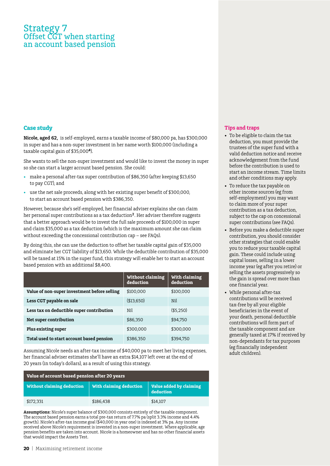### Strategy 7 Offset CGT when starting an account based pension

#### **Case study**

**Nicole, aged 62,** is self-employed, earns a taxable income of \$80,000 pa, has \$300,000 in super and has a non-super investment in her name worth \$100,000 (including a taxable capital gain of \$35,000**<sup>4</sup>**).

She wants to sell the non-super investment and would like to invest the money in super so she can start a larger account based pension. She could:

- make a personal after-tax super contribution of \$86,350 (after keeping \$13,650 to pay CGT), and
- use the net sale proceeds, along with her existing super benefit of \$300,000, to start an account based pension with \$386,350.

However, because she's self-employed, her financial adviser explains she can claim her personal super contributions as a tax deduction**2**. Her adviser therefore suggests that a better approach would be to invest the full sale proceeds of \$100,000 in super and claim \$35,000 as a tax deduction (which is the maximum amount she can claim without exceeding the concessional contribution cap – see FAQs).

By doing this, she can use the deduction to offset her taxable capital gain of \$35,000 and eliminate her CGT liability of \$13,650. While the deductible contribution of \$35,000 will be taxed at 15% in the super fund, this strategy will enable her to start an account based pension with an additional \$8,400.

|                                              | <b>Without claiming</b><br>deduction | With claiming<br>deduction |
|----------------------------------------------|--------------------------------------|----------------------------|
| Value of non-super investment before selling | \$100,000                            | \$100,000                  |
| Less CGT payable on sale                     | ( \$13,650)                          | Nil                        |
| Less tax on deductible super contribution    | Nil                                  | ( \$5.250)                 |
| Net super contribution                       | \$86,350                             | \$94.750                   |
| Plus existing super                          | \$300.000                            | \$300,000                  |
| Total used to start account based pension    | \$386,350                            | \$394,750                  |

Assuming Nicole needs an after-tax income of \$40,000 pa to meet her living expenses, her financial adviser estimates she'll have an extra \$14,107 left over at the end of 20 years (in today's dollars), as a result of using this strategy.

| Value of account based pension after 20 years |                         |                                      |  |
|-----------------------------------------------|-------------------------|--------------------------------------|--|
| Without claiming deduction                    | With claiming deduction | Value added by claiming<br>deduction |  |
| \$172,331                                     | \$186.438               | \$14,107                             |  |

**Assumptions:** Nicole's super balance of \$300,000 consists entirely of the taxable component. The account based pension earns a total pre-tax return of 7.7% pa (split 3.3% income and 4.4% growth). Nicole's after-tax income goal (\$40,000 in year one) is indexed at 3% pa. Any income received above Nicole's requirement is invested in a non-super investment. Where applicable, age pension benefits are taken into account. Nicole is a homeowner and has no other financial assets that would impact the Assets Test.

- • To be eligible to claim the tax deduction, you must provide the trustees of the super fund with a valid deduction notice and receive acknowledgement from the fund before the contribution is used to start an income stream. Time limits and other conditions may apply.
- To reduce the tax payable on other income sources (eg from self-employment) you may want to claim more of your super contribution as a tax deduction, subject to the cap on concessional super contributions (see FAQs).
- Before you make a deductible super contribution, you should consider other strategies that could enable you to reduce your taxable capital gain. These could include using capital losses, selling in a lower income year (eg after you retire) or selling the assets progressively so the gain is spread over more than one financial year.
- • While personal after-tax contributions will be received tax-free by all your eligible beneficiaries in the event of your death, personal deductible contributions will form part of the taxable component and are generally taxed at 17% if received by non-dependants for tax purposes (eg financially independent adult children).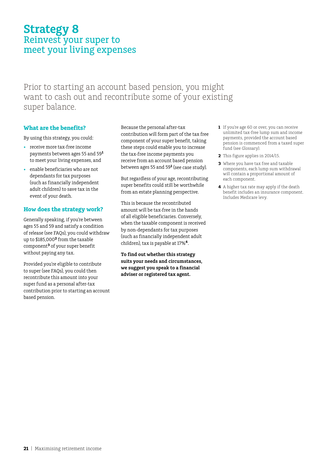# **Strategy 8** Reinvest your super to meet your living expenses

Prior to starting an account based pension, you might want to cash out and recontribute some of your existing super balance.

### **What are the benefits?**

By using this strategy, you could:

- • receive more tax-free income payments between ages 55 and 59**<sup>1</sup>** to meet your living expenses, and
- enable beneficiaries who are not dependants for tax purposes (such as financially independent adult children) to save tax in the event of your death.

#### **How does the strategy work?**

Generally speaking, if you're between ages 55 and 59 and satisfy a condition of release (see FAQs), you could withdraw up to \$185,000**2** from the taxable component**3** of your super benefit without paying any tax.

Provided you're eligible to contribute to super (see FAQs), you could then recontribute this amount into your super fund as a personal after-tax contribution prior to starting an account based pension.

Because the personal after-tax contribution will form part of the tax free component of your super benefit, taking these steps could enable you to increase the tax-free income payments you receive from an account based pension between ages 55 and 59**<sup>1</sup>** (see case study).

But regardless of your age, recontributing super benefits could still be worthwhile from an estate planning perspective.

This is because the recontributed amount will be tax-free in the hands of all eligible beneficiaries. Conversely, when the taxable component is received by non-dependants for tax purposes (such as financially independent adult children), tax is payable at 17%**4**.

**To find out whether this strategy suits your needs and circumstances, we suggest you speak to a financial adviser or registered tax agent.**

- **1** If you're age 60 or over, you can receive unlimited tax-free lump sum and income payments, provided the account based pension is commenced from a taxed super fund (see Glossary).
- **2** This figure applies in 2014/15.
- **3** Where you have tax free and taxable components, each lump sum withdrawal will contain a proportional amount of each component.
- **4** A higher tax rate may apply if the death benefit includes an insurance component. Includes Medicare levy.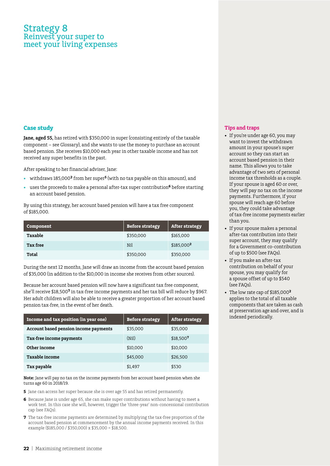## Strategy 8 Reinvest your super to meet your living expenses

#### **Case study**

**Jane, aged 55,** has retired with \$350,000 in super (consisting entirely of the taxable component – see Glossary), and she wants to use the money to purchase an account based pension. She receives \$10,000 each year in other taxable income and has not received any super benefits in the past.

After speaking to her financial adviser, Jane:

- • withdraws 185,000**<sup>2</sup>** from her super**<sup>5</sup>** (with no tax payable on this amount), and
- uses the proceeds to make a personal after-tax super contribution<sup>6</sup> before starting an account based pension.

By using this strategy, her account based pension will have a tax free component of \$185,000.

| Component | <b>Before strategy</b> | <b>After strategy</b> |
|-----------|------------------------|-----------------------|
| Taxable   | \$350,000              | \$165,000             |
| Tax free  | Nil                    | \$185,0002            |
| Total     | \$350,000              | \$350,000             |

During the next 12 months, Jane will draw an income from the account based pension of \$35,000 (in addition to the \$10,000 in income she receives from other sources).

Because her account based pension will now have a significant tax free component, she'll receive \$18,500**7** in tax-free income payments and her tax bill will reduce by \$967. Her adult children will also be able to receive a greater proportion of her account based pension tax-free, in the event of her death.

| Income and tax position (in year one) | <b>Before strategy</b> | <b>After strategy</b> |
|---------------------------------------|------------------------|-----------------------|
| Account based pension income payments | \$35,000               | \$35,000              |
| Tax-free income payments              | (Nil)                  | \$18,5007             |
| Other income                          | \$10,000               | \$10,000              |
| Taxable income                        | \$45,000               | \$26,500              |
| Tax payable                           | \$1,497                | \$530                 |

**Note:** Jane will pay no tax on the income payments from her account based pension when she turns age 60 in 2018/19.

**5** Jane can access her super because she is over age 55 and has retired permanently.

- **6** Because Jane is under age 65, she can make super contributions without having to meet a work test. In this case she will, however, trigger the 'three-year' non-concessional contribution cap (see FAQs).
- **7** The tax-free income payments are determined by multiplying the tax-free proportion of the account based pension at commencement by the annual income payments received. In this example (\$185,000 / \$350,000) x \$35,000 = \$18,500.

- If you're under age 60, you may want to invest the withdrawn amount in your spouse's super account so they can start an account based pension in their name. This allows you to take advantage of two sets of personal income tax thresholds as a couple. If your spouse is aged 60 or over, they will pay no tax on the income payments. Furthermore, if your spouse will reach age 60 before you, they could take advantage of tax-free income payments earlier than you.
- If your spouse makes a personal after-tax contribution into their super account, they may qualify for a Government co-contribution of up to \$500 (see FAQs).
- • If you make an after-tax contribution on behalf of your spouse, you may qualify for a spouse offset of up to \$540 (see FAQs).
- • The low rate cap of \$185,000**<sup>2</sup>** applies to the total of all taxable components that are taken as cash at preservation age and over, and is indexed periodically.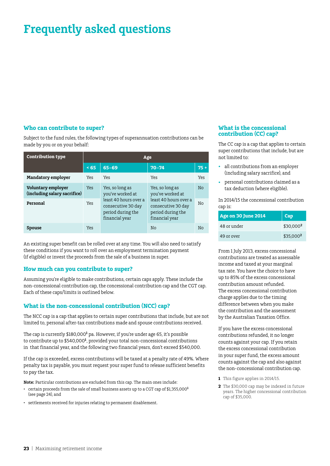#### **Who can contribute to super?**

Subject to the fund rules, the following types of superannuation contributions can be made by you or on your behalf:

| <b>Contribution type</b>                           | Age        |                                                                                    |                                                                                    |                |
|----------------------------------------------------|------------|------------------------------------------------------------------------------------|------------------------------------------------------------------------------------|----------------|
|                                                    | < 65       | $65 - 69$                                                                          | $70 - 74$                                                                          | $75 +$         |
| <b>Mandatory employer</b>                          | Yes        | Yes                                                                                | Yes                                                                                | Yes            |
| Voluntary employer<br>(including salary sacrifice) | <b>Yes</b> | Yes, so long as<br>you've worked at                                                | Yes, so long as<br>you've worked at                                                | N <sub>0</sub> |
| Personal                                           | <b>Yes</b> | least 40 hours over a<br>consecutive 30 day<br>period during the<br>financial year | least 40 hours over a<br>consecutive 30 day<br>period during the<br>financial year | No             |
| <b>Spouse</b>                                      | Yes        |                                                                                    | No                                                                                 | No             |

An existing super benefit can be rolled over at any time. You will also need to satisfy these conditions if you want to roll over an employment termination payment (if eligible) or invest the proceeds from the sale of a business in super.

#### **How much can you contribute to super?**

Assuming you're eligible to make contributions, certain caps apply. These include the non-concessional contribution cap, the concessional contribution cap and the CGT cap. Each of these caps/limits is outlined below.

#### **What is the non-concessional contribution (NCC) cap?**

The NCC cap is a cap that applies to certain super contributions that include, but are not limited to, personal after-tax contributions made and spouse contributions received.

The cap is currently \$180,000<sup>1</sup> pa. However, if you're under age 65, it's possible to contribute up to \$540,000**<sup>1</sup>** , provided your total non-concessional contributions in that financial year, and the following two financial years, don't exceed \$540,000.

If the cap is exceeded, excess contributions will be taxed at a penalty rate of 49%. Where penalty tax is payable, you must request your super fund to release sufficient benefits to pay the tax.

**Note:** Particular contributions are excluded from this cap. The main ones include:

- • certain proceeds from the sale of small business assets up to a CGT cap of \$1,355,000**<sup>1</sup>** (see page 24), and
- • settlements received for injuries relating to permanent disablement.

#### **What is the concessional contribution (CC) cap?**

The CC cap is a cap that applies to certain super contributions that include, but are not limited to:

- all contributions from an employer (including salary sacrifice), and
- personal contributions claimed as a tax deduction (where eligible).

In 2014/15 the concessional contribution cap is:

| Age on 30 June 2014 | Cap                   |
|---------------------|-----------------------|
| 48 or under         | \$30,000 <sup>2</sup> |
| 49 or over          | \$35,000 <sup>2</sup> |

From 1 July 2013, excess concessional contributions are treated as assessable income and taxed at your marginal tax rate. You have the choice to have up to 85% of the excess concessional contribution amount refunded. The excess concessional contribution charge applies due to the timing difference between when you make the contribution and the assessment by the Australian Taxation Office.

If you have the excess concessional contributions refunded, it no longer counts against your cap. If you retain the excess concessional contribution in your super fund, the excess amount counts against the cap and also against the non- concessional contribution cap.

- **1** This figure applies in 2014/15.
- **2** The \$30,000 cap may be indexed in future years. The higher concessional contribution cap of \$35,000.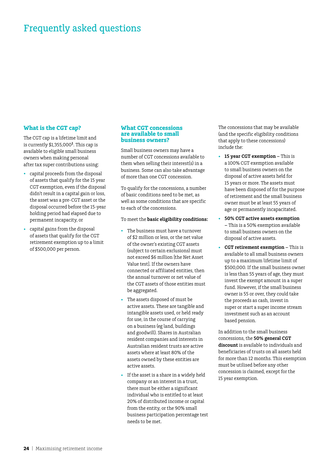#### **What is the CGT cap?**

The CGT cap is a lifetime limit and is currently \$1,355,000**<sup>1</sup>**. This cap is available to eligible small business owners when making personal after tax super contributions using:

- capital proceeds from the disposal of assets that qualify for the 15 year CGT exemption, even if the disposal didn't result in a capital gain or loss, the asset was a pre-CGT asset or the disposal occurred before the 15-year holding period had elapsed due to permanent incapacity, or
- capital gains from the disposal of assets that qualify for the CGT retirement exemption up to a limit of \$500,000 per person.

#### **What CGT concessions are available to small business owners?**

Small business owners may have a number of CGT concessions available to them when selling their interest(s) in a business. Some can also take advantage of more than one CGT concession.

To qualify for the concessions, a number of basic conditions need to be met, as well as some conditions that are specific to each of the concessions.

#### To meet the **basic eligibility conditions:**

- The business must have a turnover of \$2 million or less, or the net value of the owner's existing CGT assets (subject to certain exclusions) must not exceed \$6 million [the Net Asset Value test]. If the owners have connected or affiliated entities, then the annual turnover or net value of the CGT assets of those entities must be aggregated.
- The assets disposed of must be active assets. These are tangible and intangible assets used, or held ready for use, in the course of carrying on a business (eg land, buildings and goodwill). Shares in Australian resident companies and interests in Australian resident trusts are active assets where at least 80% of the assets owned by these entities are active assets.
- If the asset is a share in a widely held company or an interest in a trust, there must be either a significant individual who is entitled to at least 20% of distributed income or capital from the entity, or the 90% small business participation percentage test needs to be met.

The concessions that may be available (and the specific eligibility conditions that apply to these concessions) include the:

- **15 year CGT exemption This is** a 100% CGT exemption available to small business owners on the disposal of active assets held for 15 years or more. The assets must have been disposed of for the purpose of retirement and the small business owner must be at least 55 years of age or permanently incapacitated.
- **50% CGT active assets exemption –** This is a 50% exemption available to small business owners on the disposal of active assets.
- **CGT retirement exemption This is** available to all small business owners up to a maximum lifetime limit of \$500,000. If the small business owner is less than 55 years of age, they must invest the exempt amount in a super fund. However, if the small business owner is 55 or over, they could take the proceeds as cash, invest in super or start a super income stream investment such as an account based pension.

In addition to the small business concessions, the **50% general CGT discount** is available to individuals and beneficiaries of trusts on all assets held for more than 12 months. This exemption must be utilised before any other concession is claimed, except for the 15 year exemption.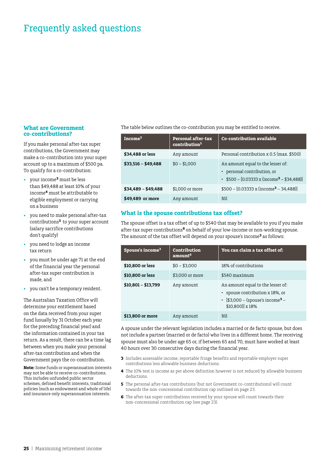#### **What are Government co-contributions?**

If you make personal after-tax super contributions, the Government may make a co-contribution into your super account up to a maximum of \$500 pa. To qualify for a co-contribution:

- your income<sup>3</sup> must be less than \$49,488 at least 10% of your income**4** must be attributable to eligible employment or carrying on a business
- you need to make personal after-tax contributions**5** to your super account (salary sacrifice contributions don't qualify)
- you need to lodge an income tax return
- you must be under age 71 at the end of the financial year the personal after-tax super contribution is made, and
- • you can't be a temporary resident.

The Australian Taxation Office will determine your entitlement based on the data received from your super fund (usually by 31 October each year for the preceding financial year) and the information contained in your tax return. As a result, there can be a time lag between when you make your personal after-tax contribution and when the Government pays the co-contribution.

**Note:** Some funds or superannuation interests may not be able to receive co-contributions. This includes unfunded public sector schemes, defined benefit interests, traditional policies (such as endowment and whole of life) and insurance only superannuation interests.

#### The table below outlines the co-contribution you may be entitled to receive.

| Income <sup>3</sup> | <b>Personal after-tax</b><br>contribution <sup>5</sup> | <b>Co-contribution available</b>                                                                                     |
|---------------------|--------------------------------------------------------|----------------------------------------------------------------------------------------------------------------------|
| \$34,488 or less    | Any amount                                             | Personal contribution x 0.5 (max. \$500)                                                                             |
| $$33,516 - $49,488$ | $$0 - $1,000$                                          | An amount equal to the lesser of:<br>• personal contribution, or<br>• $$500 - [0.03333 \times (income^3 - $34,488)]$ |
| $$34,489 - $49,488$ | \$1,000 or more                                        | $$500 - [0.03333 x (income3 - 34,488)]$                                                                              |
| \$49,489 or more    | Any amount                                             | Nil                                                                                                                  |

#### **What is the spouse contributions tax offset?**

The spouse offset is a tax offset of up to \$540 that may be available to you if you make after-tax super contributions**6** on behalf of your low-income or non-working spouse. The amount of the tax offset will depend on your spouse's income**3** as follows:

| Spouse's income <sup>3</sup> | Contribution<br>amount <sup>6</sup> | You can claim a tax offset of:                                                                                                           |
|------------------------------|-------------------------------------|------------------------------------------------------------------------------------------------------------------------------------------|
| \$10,800 or less             | $$0 - $3,000$                       | 18% of contributions                                                                                                                     |
| \$10,800 or less             | \$3,000 or more                     | \$540 maximum                                                                                                                            |
| $$10,801 - $13,799$          | Any amount                          | An amount equal to the lesser of:<br>• spouse contribution x 18%, or<br>• [\$3,000 – (spouse's income <sup>3</sup> –<br>\$10,800)] x 18% |
| \$13,800 or more             | Any amount                          | Nil                                                                                                                                      |

A spouse under the relevant legislation includes a married or de facto spouse, but does not include a partner (married or de facto) who lives in a different home. The receiving spouse must also be under age 65 or, if between 65 and 70, must have worked at least 40 hours over 30 consecutive days during the financial year.

- **3** Includes assessable income, reportable fringe benefits and reportable employer super contributions less allowable business deductions.
- **4** The 10% test is income as per above definition however is not reduced by allowable business deductions.
- **5** The personal after-tax contributions (but not Government co-contributions) will count towards the non-concessional contribution cap outlined on page 23.
- **6** The after-tax super contributions received by your spouse will count towards their non-concessional contribution cap (see page 23).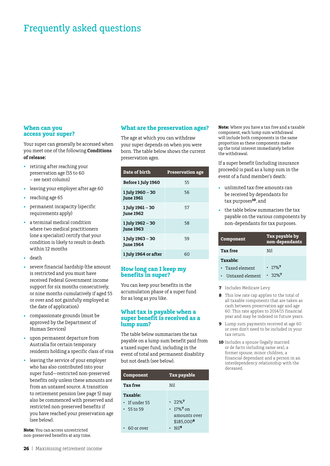#### **When can you access your super?**

Your super can generally be accessed when you meet one of the following **Conditions of release:**

- retiring after reaching your preservation age (55 to 60 – see next column)
- • leaving your employer after age 60
- reaching age 65
- permanent incapacity (specific requirements apply)
- a terminal medical condition where two medical practitioners (one a specialist) certify that your condition is likely to result in death within 12 months
- death
- severe financial hardship (the amount is restricted and you must have received Federal Government income support for six months consecutively, or nine months cumulatively if aged 55 or over and not gainfully employed at the date of application)
- compassionate grounds (must be approved by the Department of Human Services)
- upon permanent departure from Australia for certain temporary residents holding a specific class of visa
- leaving the service of your employer who has also contributed into your super fund—restricted non-preserved benefits only unless these amounts are from an untaxed source. A transition to retirement pension (see page 5) may also be commenced with preserved and restricted non-preserved benefits if you have reached your preservation age (see below).

**Note:** You can access unrestricted non-preserved benefits at any time.

#### **What are the preservation ages?**

The age at which you can withdraw your super depends on when you were born. The table below shows the current preservation ages.

| Date of birth                        | <b>Preservation age</b> |
|--------------------------------------|-------------------------|
| Before 1 July 1960                   | 55                      |
| 1 July 1960 - 30<br><b>June 1961</b> | 56                      |
| 1 July 1961 – 30<br><b>June 1962</b> | 57                      |
| 1 July 1962 – 30<br><b>June 1963</b> | 58                      |
| 1 July 1963 – 30<br><b>June 1964</b> | 59                      |
| 1 July 1964 or after                 | 60                      |

#### **How long can I keep my benefits in super?**

You can keep your benefits in the accumulation phase of a super fund for as long as you like.

#### **What tax is payable when a super benefit is received as a lump sum?**

The table below summarises the tax payable on a lump sum benefit paid from a taxed super fund, including in the event of total and permanent disability but not death (see below).

| Component                                                          | <b>Tax payable</b>                                                                                      |
|--------------------------------------------------------------------|---------------------------------------------------------------------------------------------------------|
| <b>Tax free</b>                                                    | Nil                                                                                                     |
| <b>Taxable:</b><br>· If under 55<br>$\cdot$ 55 to 59<br>60 or over | $.72\%$<br>• 17% <sup>7</sup> on<br>amounts over<br>$$185.000$ <sup>8</sup><br>$\cdot$ Nil <sup>9</sup> |

**Note:** Where you have a tax free and a taxable component, each lump sum withdrawal will include both components in the same proportion as these components make up the total interest immediately before the withdrawal.

If a super benefit (including insurance proceeds) is paid as a lump sum in the event of a fund member's death:

- unlimited tax-free amounts can be received by dependants for tax purposes**10**, and
- the table below summarises the tax payable on the various components by non-dependants for tax purposes.

| Component       | Tax payable by<br>non-dependants |
|-----------------|----------------------------------|
| <b>Tax free</b> | Nil                              |
| Taxable:        |                                  |
| • Taxed element | $.17\%$ <sup>7</sup>             |
| Untaxed element | $.32\%$ <sup>7</sup>             |

- **7** Includes Medicare Levy.
- **8** This low rate cap applies to the total of all taxable components that are taken as cash between preservation age and age 60. This rate applies to 2014/15 financial year and may be indexed in future years.
- **9** Lump sum payments received at age 60 or over don't need to be included in your tax return.
- **10** Includes a spouse (legally married or de facto including same sex), a former spouse, minor children, a financial dependant and a person in an interdependency relationship with the deceased.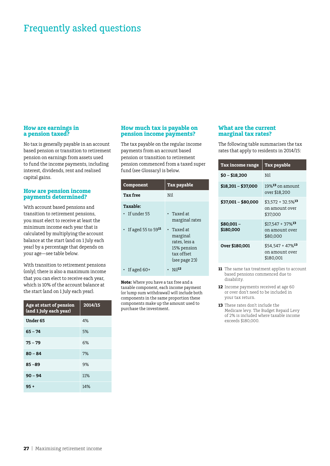#### **How are earnings in a pension taxed?**

No tax is generally payable in an account based pension or transition to retirement pension on earnings from assets used to fund the income payments, including interest, dividends, rent and realised capital gains.

#### **How are pension income payments determined?**

With account based pensions and transition to retirement pensions, you must elect to receive at least the minimum income each year that is calculated by multiplying the account balance at the start (and on 1 July each year) by a percentage that depends on your age—see table below.

With transition to retirement pensions (only), there is also a maximum income that you can elect to receive each year, which is 10% of the account balance at the start (and on 1 July each year).

| Age at start of pension<br>(and 1 July each year) | 2014/15 |
|---------------------------------------------------|---------|
| Under 65                                          | 4%      |
| $65 - 74$                                         | 5%      |
| $75 - 79$                                         | 6%      |
| $80 - 84$                                         | 7%      |
| $85 - 89$                                         | 9%      |
| $90 - 94$                                         | 11%     |
| 95 +                                              | 14%     |

#### **How much tax is payable on pension income payments?**

The tax payable on the regular income payments from an account based pension or transition to retirement pension commenced from a taxed super fund (see Glossary) is below.

| Component                                                     | Tax payable                                                                                                                       |
|---------------------------------------------------------------|-----------------------------------------------------------------------------------------------------------------------------------|
| <b>Tax free</b>                                               | Nil                                                                                                                               |
| Taxable:<br>If under 55<br>• If aged 55 to 59 $^{\mathbf{n}}$ | $\cdot$ Taxed at<br>marginal rates<br>$\cdot$ Taxed at<br>marginal<br>rates, less a<br>15% pension<br>tax offset<br>(see page 23) |
| If aged $60+$                                                 | $Ni$ <sup>12</sup>                                                                                                                |

**Note:** Where you have a tax free and a taxable component, each income payment (or lump sum withdrawal) will include both components in the same proportion these components make up the amount used to purchase the investment.

#### **What are the current marginal tax rates?**

The following table summarises the tax rates that apply to residents in 2014/15:

| <b>Tax income range</b> | Tax payable                                                   |
|-------------------------|---------------------------------------------------------------|
| $$0 - $18,200$          | Nil                                                           |
| $$18,201 - $37,000$     | $19\%$ <sup>13</sup> on amount<br>over \$18,200               |
| $$37,001 - $80,000$     | $$3.572 + 32.5\%$ <sup>13</sup><br>on amount over<br>\$37,000 |
| $$80,001-$<br>\$180,000 | $$17.547 + 37\%$ <sup>13</sup><br>on amount over<br>\$80,000  |
| Over \$180,001          | $$54.547 + 47\%$ <sup>13</sup><br>on amount over<br>\$180.001 |

- **11** The same tax treatment applies to account based pensions commenced due to disability.
- **12** Income payments received at age 60 or over don't need to be included in your tax return.
- **13** These rates don't include the Medicare levy. The Budget Repaid Levy of 2% is included where taxable income exceeds \$180,000.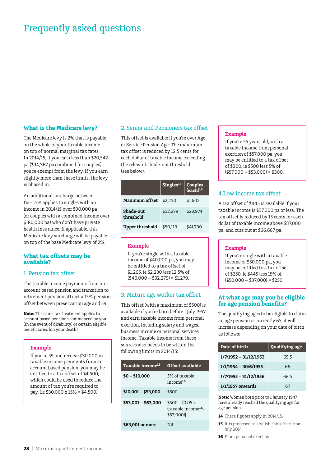#### **What is the Medicare levy?**

The Medicare levy is 2% that is payable on the whole of your taxable income on top of normal marginal tax rates. In 2014/15, if you earn less than \$20,542 pa (\$34,367 pa combined for couples) you're exempt from the levy. If you earn slightly more than these limits, the levy is phased in.

An additional surcharge between 1%–1.5% applies to singles with an income in 2014/15 over \$90,000 pa (or couples with a combined income over \$180,000 pa) who don't have private health insurance. If applicable, this Medicare levy surcharge will be payable on top of the base Medicare levy of 2%.

#### **What tax offsets may be available?**

#### 1. Pension tax offset

The taxable income payments from an account based pension and transition to retirement pension attract a 15% pension offset between preservation age and 59.

**Note:** The same tax treatment applies to account based pensions commenced by you (in the event of disability) or certain eligible beneficiaries (on your death).

#### **Example**

If you're 59 and receive \$30,000 in taxable income payments from an account based pension, you may be entitled to a tax offset of \$4,500, which could be used to reduce the amount of tax you're required to pay, (ie \$30,000 x 15% = \$4,500).

#### 2. Senior and Pensioners tax offset

This offset is available if you're over Age or Service Pension Age. The maximum tax offset is reduced by 12.5 cents for each dollar of taxable income exceeding the relevant shade-out threshold (see below).

|                        | Singles <sup>14</sup> | Couples<br>(each) <sup>14</sup> |
|------------------------|-----------------------|---------------------------------|
| <b>Maximum offset</b>  | \$2.230               | \$1,602                         |
| Shade-out<br>threshold | \$32.279              | \$28.974                        |
| Upper threshold        | \$50.119              | \$41.790                        |

#### **Example**

If you're single with a taxable income of \$40,000 pa, you may be entitled to a tax offset of \$1,265, ie \$2,230 less 12.5% of  $( $40.000 - $32.279 = $1.279.$ 

#### 3. Mature age worker tax offset

This offset (with a maximum of \$500) is available if you're born before 1 July 1957 and earn taxable income from personal exertion, including salary and wages, business income or personal services income. Taxable income from these sources also needs to be within the following limits in 2014/15:

| Taxable income <sup>15</sup> | Offset available                                                  |
|------------------------------|-------------------------------------------------------------------|
| $$0 - $10,000$               | 5% of taxable<br>$income$ <sup>16</sup>                           |
| \$10,001 - \$53,000          | \$500                                                             |
| \$53.001 - \$63.000          | $$500 - [0.05 x]$<br>(taxable income <sup>16</sup> –<br>\$53,000] |
| \$63,001 or more             | Nil                                                               |

#### **Example**

If you're 55 years old, with a taxable income from personal exertion of \$57,000 pa, you may be entitled to a tax offset of \$300, ie \$500 less 5% of  $($57,000 - $53,000) = $300.$ 

#### 4.Low income tax offset

A tax offset of \$445 is available if your taxable income is \$37,000 pa or less. The tax offset is reduced by 15 cents for each dollar of taxable income above \$37,000 pa, and cuts out at \$66,667 pa.

#### **Example**

If you're single with a taxable income of \$50,000 pa, you may be entitled to a tax offset of \$250, ie \$445 less 15% of  $($50,000 - $37,000) = $250.$ 

#### **At what age may you be eligible for age pension benefits?**

The qualifying ages to be eligible to claim an age pension is currently 65, it will increase depending on your date of birth as follows:

| Date of birth           | <b>Qualifying age</b> |
|-------------------------|-----------------------|
| $1/7/1952 - 31/12/1953$ | 65.5                  |
| $1/1/1954 - 30/6/1955$  | 66                    |
| $1/7/1955 - 31/12/1956$ | 66.5                  |
| $1/1/1957$ onwards      |                       |

**Note:** Women born prior to 1 January 1947 have already reached the qualifying age for age pension.

- **14** These figures apply in 2014/15.
- **15** It is proposed to abolish this offset from July 2014.
- **16** From personal exertion.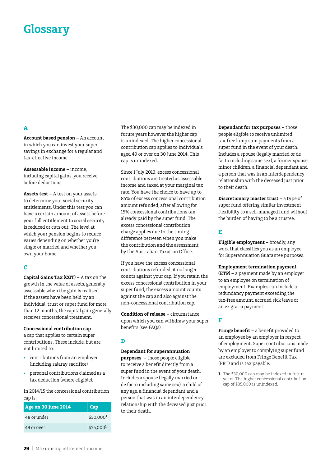# **Glossary**

#### **A**

**Account based pension –** An account in which you can invest your super savings in exchange for a regular and tax-effective income.

**Assessable income –** income, including capital gains, you receive before deductions.

**Assets test –** A test on your assets to determine your social security entitlements. Under this test you can have a certain amount of assets before your full entitlement to social security is reduced or cuts out. The level at which your pension begins to reduce varies depending on whether you're single or married and whether you own your home.

#### **C**

**Capital Gains Tax (CGT) –** A tax on the growth in the value of assets, generally assessable when the gain is realised. If the assets have been held by an individual, trust or super fund for more than 12 months, the capital gain generally receives concessional treatment.

**Concessional contribution cap –** a cap that applies to certain super contributions. These include, but are not limited to:

- • contributions from an employer (including salaray sacrifice)
- personal contributions claimed as a tax deduction (where eligible).

In 2014/15 the concessional contribution cap is:

| Age on 30 June 2014 | Cap                   |
|---------------------|-----------------------|
| 48 or under         | \$30.000 <sup>1</sup> |
| 49 or over          | \$35.000 <sup>1</sup> |

The \$30,000 cap may be indexed in future years however the higher cap is unindexed. The higher concessional contribution cap applies to individuals aged 49 or over on 30 June 2014. This cap is unindexed.

Since 1 July 2013, excess concessional contributions are treated as assessable income and taxed at your marginal tax rate. You have the choice to have up to 85% of excess concessional contribution amount refunded, after allowing for 15% concessional contributions tax already paid by the super fund. The excess concessional contribution charge applies due to the timing difference between when you make the contribution and the assessment by the Australian Taxation Office.

If you have the excess concessional contributions refunded, it no longer counts against your cap. If you retain the excess concessional contribution in your super fund, the excess amount counts against the cap and also against the non-concessional contribution cap.

**Condition of release –** circumstance upon which you can withdraw your super benefits (see FAQs).

#### **D**

#### **Dependant for superannuation**

**purposes –** those people eligible to receive a benefit directly from a super fund in the event of your death. Includes a spouse (legally married or de facto including same sex), a child of any age, a financial dependant and a person that was in an interdependency relationship with the deceased just prior to their death.

**Dependant for tax purposes –** those people eligible to receive unlimited tax-free lump sum payments from a super fund in the event of your death. Includes a spouse (legally married or de facto including same sex), a former spouse, minor children, a financial dependant and a person that was in an interdependency relationship with the deceased just prior to their death.

**Discretionary master trust –** a type of super fund offering similar investment flexibility to a self-managed fund without the burden of having to be a trustee.

#### **E**

**Eligible employment –** broadly, any work that classifies you as an employee for Superannuation Guarantee purposes.

#### **Employment termination payment**

**(ETP) –** a payment made by an employer to an employee on termination of employment. Examples can include a redundancy payment exceeding the tax-free amount, accrued sick leave or an ex gratia payment.

#### **F**

**Fringe benefit –** a benefit provided to an employee by an employer in respect of employment. Super contributions made by an employer to complying super fund are excluded from Fringe Benefit Tax (FBT) and is tax payable.

**1** The \$30,000 cap may be indexed in future years. The higher concessional contribution cap of \$35,000 is unindexed.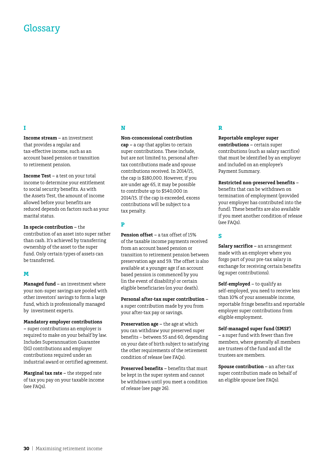# **Glossary**

#### **I**

**Income stream –** an investment that provides a regular and tax-effective income, such as an account based pension or transition to retirement pension.

**Income Test –** a test on your total income to determine your entitlement to social security benefits. As with the Assets Test, the amount of income allowed before your benefits are reduced depends on factors such as your marital status.

**In specie contribution –** the contribution of an asset into super rather than cash. It's achieved by transferring ownership of the asset to the super fund. Only certain types of assets can be transferred.

#### **M**

**Managed fund –** an investment where your non-super savings are pooled with other investors' savings to form a large fund, which is professionally managed by investment experts.

**Mandatory employer contributions –** super contributions an employer is required to make on your behalf by law. Includes Superannuation Guarantee (SG) contributions and employer contributions required under an industrial award or certified agreement.

**Marginal tax rate –** the stepped rate of tax you pay on your taxable income (see FAQs).

### **N**

**Non-cconcessional contribution** 

**cap –** a cap that applies to certain super contributions. These include, but are not limited to, personal aftertax contributions made and spouse contributions received. In 2014/15, the cap is \$180,000. However, if you are under age 65, it may be possible to contribute up to \$540,000 in 2014/15. If the cap is exceeded, excess contributions will be subject to a tax penalty.

#### **P**

**Pension offset –** a tax offset of 15% of the taxable income payments received from an account based pension or transition to retirement pension between preservation age and 59. The offset is also available at a younger age if an account based pension is commenced by you (in the event of disability) or certain eligible beneficiaries (on your death).

**Personal after-tax super contribution –**  a super contribution made by you from your after-tax pay or savings.

**Preservation age –** the age at which you can withdraw your preserved super benefits – between 55 and 60, depending on your date of birth subject to satisfying the other requirements of the retirement condition of release (see FAQs).

**Preserved benefits –** benefits that must be kept in the super system and cannot be withdrawn until you meet a condition of release (see page 26).

#### **R**

**Reportable employer super** 

**contributions –** certain super contributions (such as salary sacrifice) that must be identified by an employer and included on an employee's Payment Summary.

**Restricted non-preserved benefits –** 

benefits that can be withdrawn on termination of employment (provided your employer has contributed into the fund). These benefits are also available if you meet another condition of release (see FAQs).

### **S**

**Salary sacrifice –** an arrangement made with an employer where you forgo part of your pre-tax salary in exchange for receiving certain benefits (eg super contributions).

**Self-employed –** to qualify as self-employed, you need to receive less than 10% of your assessable income, reportable fringe benefits and reportable employer super contributions from eligible employment.

#### **Self-managed super fund (SMSF)**

**–** a super fund with fewer than five members, where generally all members are trustees of the fund and all the trustees are members.

**Spouse contribution –** an after-tax super contribution made on behalf of an eligible spouse (see FAQs).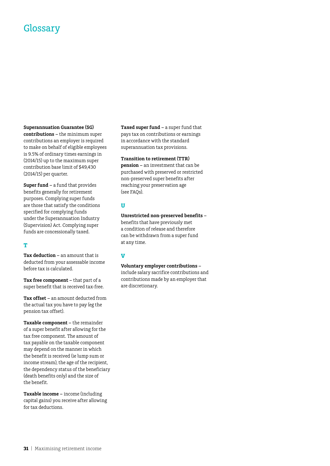# **Glossary**

#### **Superannuation Guarantee (SG)**

**contributions –** the minimum super contributions an employer is required to make on behalf of eligible employees is 9.5% of ordinary times earnings in (2014/15) up to the maximum super contribution base limit of \$49,430 (2014/15) per quarter.

**Super fund –** a fund that provides benefits generally for retirement purposes. Complying super funds are those that satisfy the conditions specified for complying funds under the Superannuation Industry (Supervision) Act. Complying super funds are concessionally taxed.

#### **T**

**Tax deduction –** an amount that is deducted from your assessable income before tax is calculated.

**Tax free component –** that part of a super benefit that is received tax-free.

**Tax offset –** an amount deducted from the actual tax you have to pay (eg the pension tax offset).

**Taxable component –** the remainder of a super benefit after allowing for the tax free component. The amount of tax payable on the taxable component may depend on the manner in which the benefit is received (ie lump sum or income stream), the age of the recipient, the dependency status of the beneficiary (death benefits only) and the size of the benefit.

**Taxable income –** income (including capital gains) you receive after allowing for tax deductions.

**Taxed super fund –** a super fund that pays tax on contributions or earnings in accordance with the standard superannuation tax provisions.

#### **Transition to retirement (TTR)**

**pension –** an investment that can be purchased with preserved or restricted non-preserved super benefits after reaching your preservation age (see FAQs).

#### **U**

#### **Unrestricted non-preserved benefits –**

benefits that have previously met a condition of release and therefore can be withdrawn from a super fund at any time.

#### **V**

#### **Voluntary employer contributions –**

include salary sacrifice contributions and contributions made by an employer that are discretionary.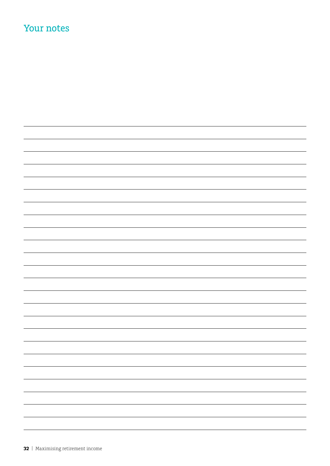# Your notes

| $\overline{\phantom{0}}$ |
|--------------------------|
| $\overline{\phantom{0}}$ |
| -                        |
| $\overline{\phantom{0}}$ |
|                          |
| $\sim$                   |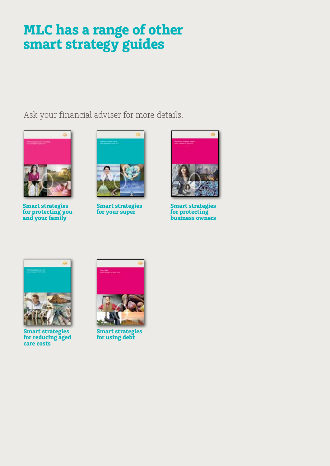# **MLC has a range of other smart strategy guides**

Ask your financial adviser for more details.



**Smart strategies for protecting you and your family**



**Smart strategies for your super**



**Smart strategies for protecting business owners**



**Smart strategies for reducing aged care costs**



**Smart strategies for using debt**